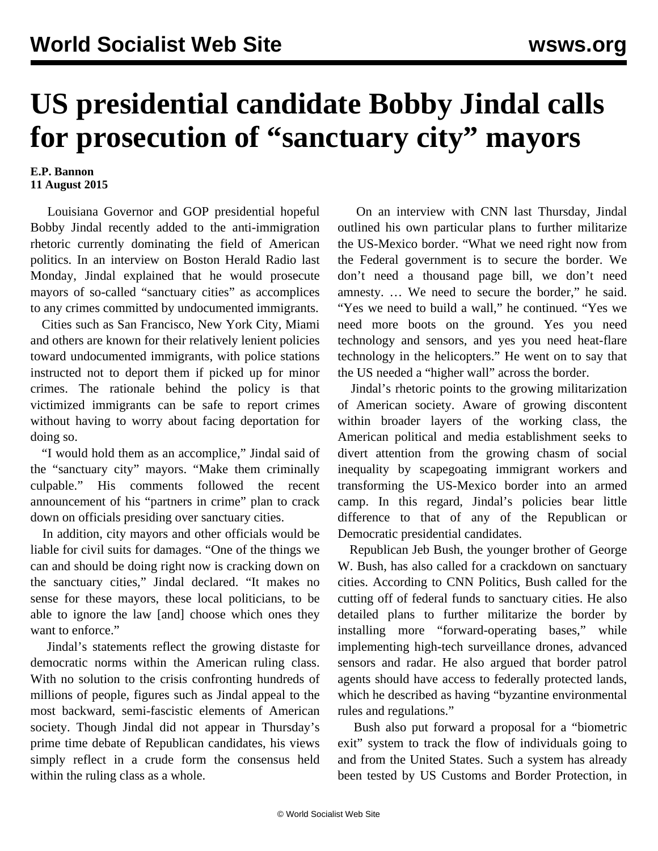## **US presidential candidate Bobby Jindal calls for prosecution of "sanctuary city" mayors**

## **E.P. Bannon 11 August 2015**

 Louisiana Governor and GOP presidential hopeful Bobby Jindal recently added to the anti-immigration rhetoric currently dominating the field of American politics. In an interview on Boston Herald Radio last Monday, Jindal explained that he would prosecute mayors of so-called "sanctuary cities" as accomplices to any crimes committed by undocumented immigrants.

 Cities such as San Francisco, New York City, Miami and others are known for their relatively lenient policies toward undocumented immigrants, with police stations instructed not to deport them if picked up for minor crimes. The rationale behind the policy is that victimized immigrants can be safe to report crimes without having to worry about facing deportation for doing so.

 "I would hold them as an accomplice," Jindal said of the "sanctuary city" mayors. "Make them criminally culpable." His comments followed the recent announcement of his "partners in crime" plan to crack down on officials presiding over sanctuary cities.

 In addition, city mayors and other officials would be liable for civil suits for damages. "One of the things we can and should be doing right now is cracking down on the sanctuary cities," Jindal declared. "It makes no sense for these mayors, these local politicians, to be able to ignore the law [and] choose which ones they want to enforce."

 Jindal's statements reflect the growing distaste for democratic norms within the American ruling class. With no solution to the crisis confronting hundreds of millions of people, figures such as Jindal appeal to the most backward, semi-fascistic elements of American society. Though Jindal did not appear in Thursday's prime time [debate](/en/articles/2015/08/08/deba-a08.html) of Republican candidates, his views simply reflect in a crude form the consensus held within the ruling class as a whole.

 On an interview with CNN last Thursday, Jindal outlined his own particular plans to further militarize the US-Mexico border. "What we need right now from the Federal government is to secure the border. We don't need a thousand page bill, we don't need amnesty. … We need to secure the border," he said. "Yes we need to build a wall," he continued. "Yes we need more boots on the ground. Yes you need technology and sensors, and yes you need heat-flare technology in the helicopters." He went on to say that the US needed a "higher wall" across the border.

 Jindal's rhetoric points to the growing militarization of American society. Aware of growing discontent within broader layers of the working class, the American political and media establishment seeks to divert attention from the growing chasm of social inequality by scapegoating immigrant workers and transforming the US-Mexico border into an armed camp. In this regard, Jindal's policies bear little difference to that of any of the Republican or Democratic presidential candidates.

 Republican Jeb Bush, the younger brother of George W. Bush, has also called for a crackdown on sanctuary cities. According to CNN Politics, Bush called for the cutting off of federal funds to sanctuary cities. He also detailed plans to further militarize the border by installing more "forward-operating bases," while implementing high-tech surveillance drones, advanced sensors and radar. He also argued that border patrol agents should have access to federally protected lands, which he described as having "byzantine environmental rules and regulations."

 Bush also put forward a proposal for a "biometric exit" system to track the flow of individuals going to and from the United States. Such a system has already been tested by US Customs and Border Protection, in